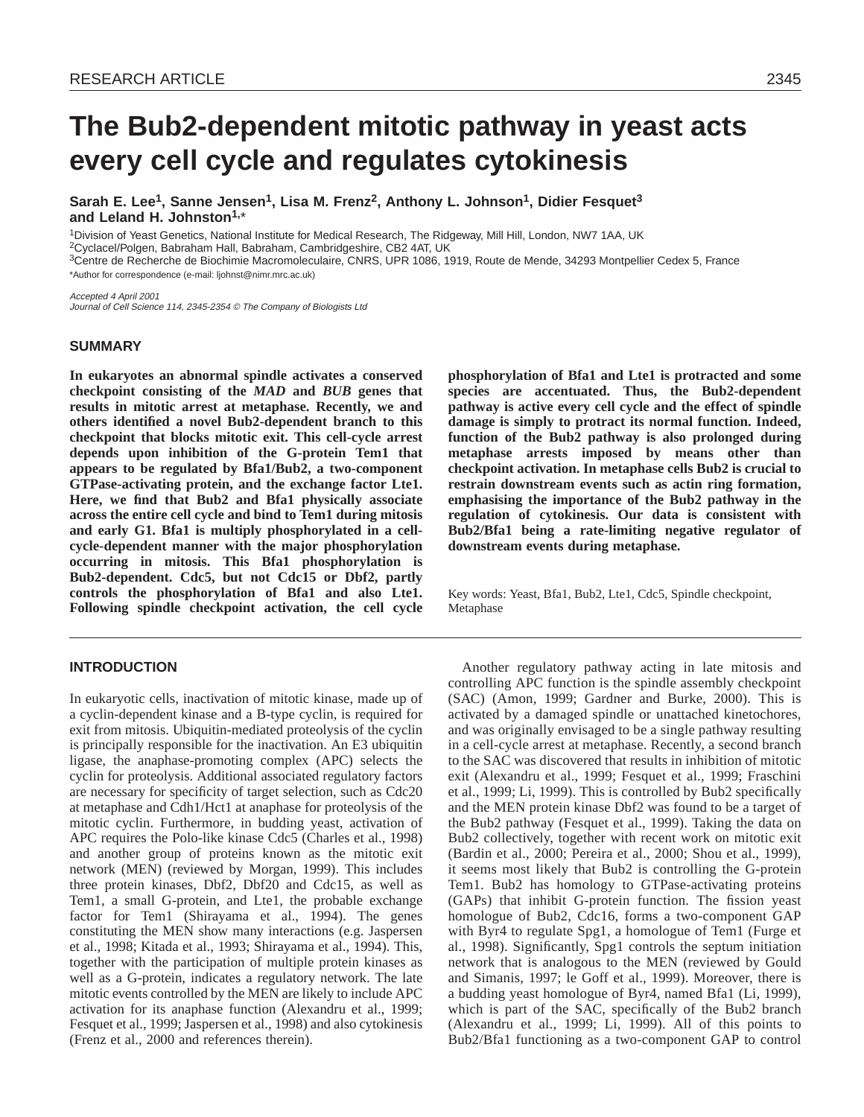# **The Bub2-dependent mitotic pathway in yeast acts every cell cycle and regulates cytokinesis**

Sarah E. Lee<sup>1</sup>, Sanne Jensen<sup>1</sup>, Lisa M. Frenz<sup>2</sup>, Anthony L. Johnson<sup>1</sup>, Didier Fesquet<sup>3</sup> **and Leland H. Johnston1,**\*

1Division of Yeast Genetics, National Institute for Medical Research, The Ridgeway, Mill Hill, London, NW7 1AA, UK

2Cyclacel/Polgen, Babraham Hall, Babraham, Cambridgeshire, CB2 4AT, UK

3Centre de Recherche de Biochimie Macromoleculaire, CNRS, UPR 1086, 1919, Route de Mende, 34293 Montpellier Cedex 5, France \*Author for correspondence (e-mail: ljohnst@nimr.mrc.ac.uk)

Accepted 4 April 2001 Journal of Cell Science 114, 2345-2354 © The Company of Biologists Ltd

## **SUMMARY**

**In eukaryotes an abnormal spindle activates a conserved checkpoint consisting of the** *MAD* **and** *BUB* **genes that results in mitotic arrest at metaphase. Recently, we and others identified a novel Bub2-dependent branch to this checkpoint that blocks mitotic exit. This cell-cycle arrest depends upon inhibition of the G-protein Tem1 that appears to be regulated by Bfa1/Bub2, a two-component GTPase-activating protein, and the exchange factor Lte1. Here, we find that Bub2 and Bfa1 physically associate across the entire cell cycle and bind to Tem1 during mitosis and early G1. Bfa1 is multiply phosphorylated in a cellcycle-dependent manner with the major phosphorylation occurring in mitosis. This Bfa1 phosphorylation is Bub2-dependent. Cdc5, but not Cdc15 or Dbf2, partly controls the phosphorylation of Bfa1 and also Lte1. Following spindle checkpoint activation, the cell cycle**

# **INTRODUCTION**

In eukaryotic cells, inactivation of mitotic kinase, made up of a cyclin-dependent kinase and a B-type cyclin, is required for exit from mitosis. Ubiquitin-mediated proteolysis of the cyclin is principally responsible for the inactivation. An E3 ubiquitin ligase, the anaphase-promoting complex (APC) selects the cyclin for proteolysis. Additional associated regulatory factors are necessary for specificity of target selection, such as Cdc20 at metaphase and Cdh1/Hct1 at anaphase for proteolysis of the mitotic cyclin. Furthermore, in budding yeast, activation of APC requires the Polo-like kinase Cdc5 (Charles et al., 1998) and another group of proteins known as the mitotic exit network (MEN) (reviewed by Morgan, 1999). This includes three protein kinases, Dbf2, Dbf20 and Cdc15, as well as Tem1, a small G-protein, and Lte1, the probable exchange factor for Tem1 (Shirayama et al., 1994). The genes constituting the MEN show many interactions (e.g. Jaspersen et al., 1998; Kitada et al., 1993; Shirayama et al., 1994). This, together with the participation of multiple protein kinases as well as a G-protein, indicates a regulatory network. The late mitotic events controlled by the MEN are likely to include APC activation for its anaphase function (Alexandru et al., 1999; Fesquet et al., 1999; Jaspersen et al., 1998) and also cytokinesis (Frenz et al., 2000 and references therein).

**phosphorylation of Bfa1 and Lte1 is protracted and some species are accentuated. Thus, the Bub2-dependent pathway is active every cell cycle and the effect of spindle damage is simply to protract its normal function. Indeed, function of the Bub2 pathway is also prolonged during metaphase arrests imposed by means other than checkpoint activation. In metaphase cells Bub2 is crucial to restrain downstream events such as actin ring formation, emphasising the importance of the Bub2 pathway in the regulation of cytokinesis. Our data is consistent with Bub2/Bfa1 being a rate-limiting negative regulator of downstream events during metaphase.**

Key words: Yeast, Bfa1, Bub2, Lte1, Cdc5, Spindle checkpoint, Metaphase

Another regulatory pathway acting in late mitosis and controlling APC function is the spindle assembly checkpoint (SAC) (Amon, 1999; Gardner and Burke, 2000). This is activated by a damaged spindle or unattached kinetochores, and was originally envisaged to be a single pathway resulting in a cell-cycle arrest at metaphase. Recently, a second branch to the SAC was discovered that results in inhibition of mitotic exit (Alexandru et al., 1999; Fesquet et al., 1999; Fraschini et al., 1999; Li, 1999). This is controlled by Bub2 specifically and the MEN protein kinase Dbf2 was found to be a target of the Bub2 pathway (Fesquet et al., 1999). Taking the data on Bub2 collectively, together with recent work on mitotic exit (Bardin et al., 2000; Pereira et al., 2000; Shou et al., 1999), it seems most likely that Bub2 is controlling the G-protein Tem1. Bub2 has homology to GTPase-activating proteins (GAPs) that inhibit G-protein function. The fission yeast homologue of Bub2, Cdc16, forms a two-component GAP with Byr4 to regulate Spg1, a homologue of Tem1 (Furge et al., 1998). Significantly, Spg1 controls the septum initiation network that is analogous to the MEN (reviewed by Gould and Simanis, 1997; le Goff et al., 1999). Moreover, there is a budding yeast homologue of Byr4, named Bfa1 (Li, 1999), which is part of the SAC, specifically of the Bub2 branch (Alexandru et al., 1999; Li, 1999). All of this points to Bub2/Bfa1 functioning as a two-component GAP to control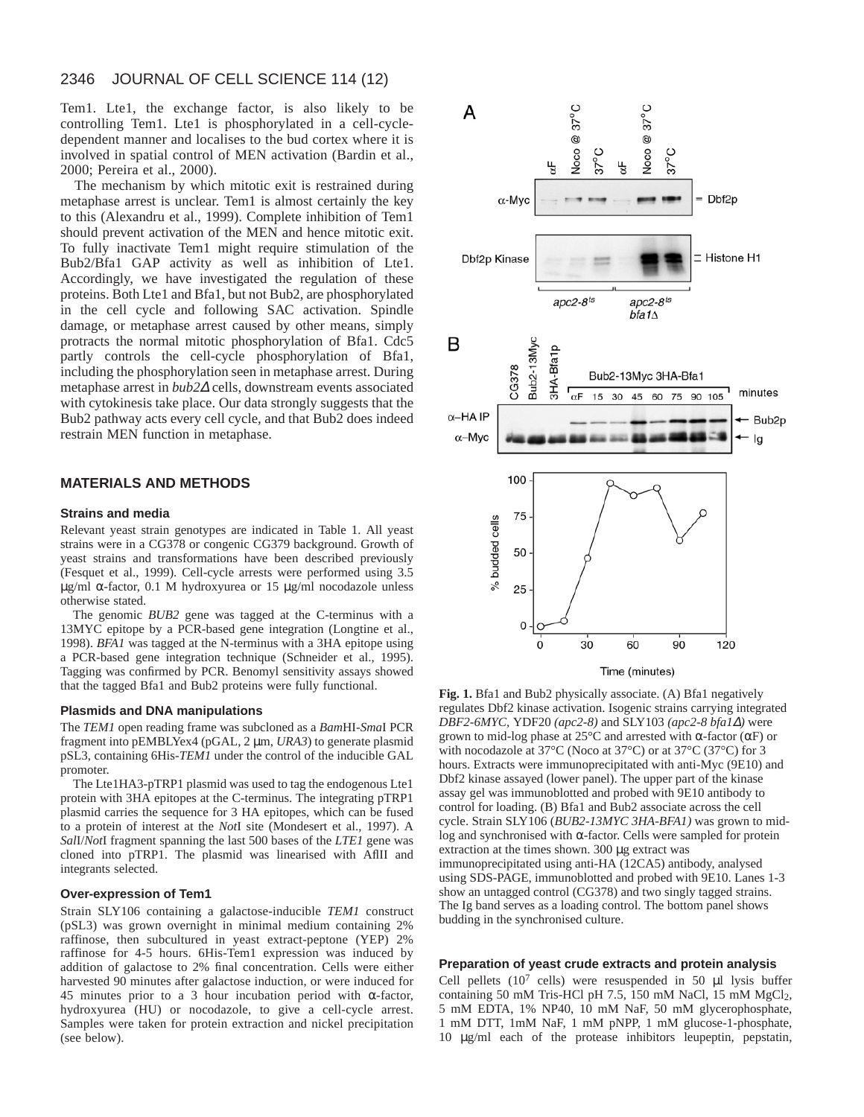Tem1. Lte1, the exchange factor, is also likely to be controlling Tem1. Lte1 is phosphorylated in a cell-cycledependent manner and localises to the bud cortex where it is involved in spatial control of MEN activation (Bardin et al., 2000; Pereira et al., 2000).

The mechanism by which mitotic exit is restrained during metaphase arrest is unclear. Tem1 is almost certainly the key to this (Alexandru et al., 1999). Complete inhibition of Tem1 should prevent activation of the MEN and hence mitotic exit. To fully inactivate Tem1 might require stimulation of the Bub2/Bfa1 GAP activity as well as inhibition of Lte1. Accordingly, we have investigated the regulation of these proteins. Both Lte1 and Bfa1, but not Bub2, are phosphorylated in the cell cycle and following SAC activation. Spindle damage, or metaphase arrest caused by other means, simply protracts the normal mitotic phosphorylation of Bfa1. Cdc5 partly controls the cell-cycle phosphorylation of Bfa1, including the phosphorylation seen in metaphase arrest. During metaphase arrest in *bub2*<sup>∆</sup> cells, downstream events associated with cytokinesis take place. Our data strongly suggests that the Bub2 pathway acts every cell cycle, and that Bub2 does indeed restrain MEN function in metaphase.

## **MATERIALS AND METHODS**

#### **Strains and media**

Relevant yeast strain genotypes are indicated in Table 1. All yeast strains were in a CG378 or congenic CG379 background. Growth of yeast strains and transformations have been described previously (Fesquet et al., 1999). Cell-cycle arrests were performed using 3.5 μg/ml α-factor, 0.1 M hydroxyurea or 15 μg/ml nocodazole unless otherwise stated.

The genomic *BUB2* gene was tagged at the C-terminus with a 13MYC epitope by a PCR-based gene integration (Longtine et al., 1998). *BFA1* was tagged at the N-terminus with a 3HA epitope using a PCR-based gene integration technique (Schneider et al., 1995). Tagging was confirmed by PCR. Benomyl sensitivity assays showed that the tagged Bfa1 and Bub2 proteins were fully functional.

#### **Plasmids and DNA manipulations**

The *TEM1* open reading frame was subcloned as a *Bam*HI-*Sma*I PCR fragment into pEMBLYex4 (pGAL, 2 µm, *URA3*) to generate plasmid pSL3, containing 6His-*TEM1* under the control of the inducible GAL promoter.

The Lte1HA3-pTRP1 plasmid was used to tag the endogenous Lte1 protein with 3HA epitopes at the C-terminus. The integrating pTRP1 plasmid carries the sequence for 3 HA epitopes, which can be fused to a protein of interest at the *Not*I site (Mondesert et al., 1997). A *Sal*I/*Not*I fragment spanning the last 500 bases of the *LTE1* gene was cloned into pTRP1. The plasmid was linearised with AflII and integrants selected.

#### **Over-expression of Tem1**

Strain SLY106 containing a galactose-inducible *TEM1* construct (pSL3) was grown overnight in minimal medium containing 2% raffinose, then subcultured in yeast extract-peptone (YEP) 2% raffinose for 4-5 hours. 6His-Tem1 expression was induced by addition of galactose to 2% final concentration. Cells were either harvested 90 minutes after galactose induction, or were induced for 45 minutes prior to a 3 hour incubation period with α-factor, hydroxyurea (HU) or nocodazole, to give a cell-cycle arrest. Samples were taken for protein extraction and nickel precipitation (see below).



**Fig. 1.** Bfa1 and Bub2 physically associate. (A) Bfa1 negatively regulates Dbf2 kinase activation. Isogenic strains carrying integrated *DBF2-6MYC,* YDF20 *(apc2-8)* and SLY103 *(apc2-8 bfa1*∆*)* were grown to mid-log phase at 25°C and arrested with α-factor (αF) or with nocodazole at 37°C (Noco at 37°C) or at 37°C (37°C) for 3 hours. Extracts were immunoprecipitated with anti-Myc (9E10) and Dbf2 kinase assayed (lower panel). The upper part of the kinase assay gel was immunoblotted and probed with 9E10 antibody to control for loading. (B) Bfa1 and Bub2 associate across the cell cycle. Strain SLY106 (*BUB2-13MYC 3HA-BFA1)* was grown to midlog and synchronised with α-factor. Cells were sampled for protein extraction at the times shown. 300 µg extract was immunoprecipitated using anti-HA (12CA5) antibody, analysed using SDS-PAGE, immunoblotted and probed with 9E10. Lanes 1-3 show an untagged control (CG378) and two singly tagged strains. The Ig band serves as a loading control. The bottom panel shows budding in the synchronised culture.

#### **Preparation of yeast crude extracts and protein analysis**

Cell pellets  $(10^7 \text{ cells})$  were resuspended in 50  $\mu$ l lysis buffer containing 50 mM Tris-HCl pH 7.5, 150 mM NaCl, 15 mM MgCl<sub>2</sub>, 5 mM EDTA, 1% NP40, 10 mM NaF, 50 mM glycerophosphate, 1 mM DTT, 1mM NaF, 1 mM pNPP, 1 mM glucose-1-phosphate, 10 µg/ml each of the protease inhibitors leupeptin, pepstatin,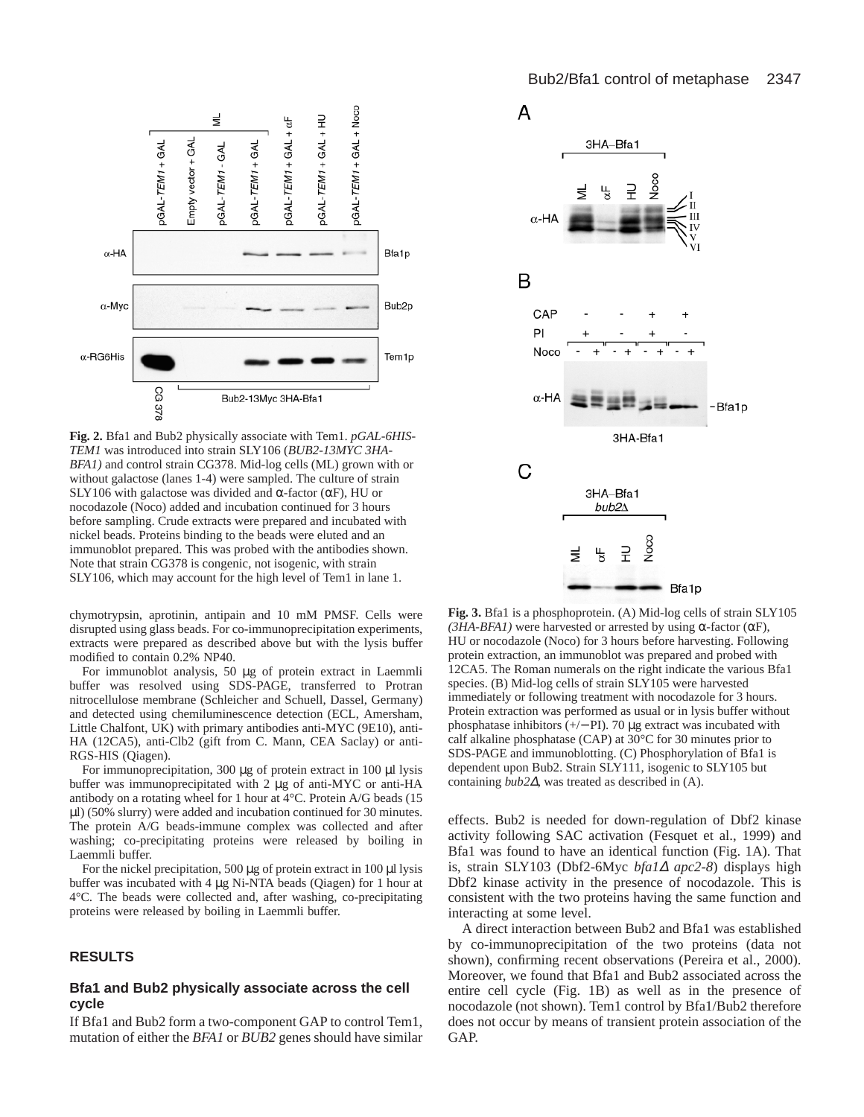

**Fig. 2.** Bfa1 and Bub2 physically associate with Tem1. *pGAL-6HIS-TEM1* was introduced into strain SLY106 (*BUB2-13MYC 3HA-BFA1)* and control strain CG378. Mid-log cells (ML) grown with or without galactose (lanes 1-4) were sampled. The culture of strain SLY106 with galactose was divided and  $\alpha$ -factor ( $\alpha$ F), HU or nocodazole (Noco) added and incubation continued for 3 hours before sampling. Crude extracts were prepared and incubated with nickel beads. Proteins binding to the beads were eluted and an immunoblot prepared. This was probed with the antibodies shown. Note that strain CG378 is congenic, not isogenic, with strain SLY106, which may account for the high level of Tem1 in lane 1.

chymotrypsin, aprotinin, antipain and 10 mM PMSF. Cells were disrupted using glass beads. For co-immunoprecipitation experiments, extracts were prepared as described above but with the lysis buffer modified to contain 0.2% NP40.

For immunoblot analysis, 50 µg of protein extract in Laemmli buffer was resolved using SDS-PAGE, transferred to Protran nitrocellulose membrane (Schleicher and Schuell, Dassel, Germany) and detected using chemiluminescence detection (ECL, Amersham, Little Chalfont, UK) with primary antibodies anti-MYC (9E10), anti-HA (12CA5), anti-Clb2 (gift from C. Mann, CEA Saclay) or anti-RGS-HIS (Qiagen).

For immunoprecipitation, 300 µg of protein extract in 100 µl lysis buffer was immunoprecipitated with 2 µg of anti-MYC or anti-HA antibody on a rotating wheel for 1 hour at 4°C. Protein A/G beads (15 µl) (50% slurry) were added and incubation continued for 30 minutes. The protein A/G beads-immune complex was collected and after washing; co-precipitating proteins were released by boiling in Laemmli buffer.

For the nickel precipitation, 500  $\mu$ g of protein extract in 100  $\mu$ l lysis buffer was incubated with 4 µg Ni-NTA beads (Qiagen) for 1 hour at 4°C. The beads were collected and, after washing, co-precipitating proteins were released by boiling in Laemmli buffer.

#### **RESULTS**

#### **Bfa1 and Bub2 physically associate across the cell cycle**

If Bfa1 and Bub2 form a two-component GAP to control Tem1, mutation of either the *BFA1* or *BUB2* genes should have similar



**Fig. 3.** Bfa1 is a phosphoprotein. (A) Mid-log cells of strain SLY105 *(3HA-BFA1)* were harvested or arrested by using  $\alpha$ -factor ( $\alpha$ F), HU or nocodazole (Noco) for 3 hours before harvesting. Following protein extraction, an immunoblot was prepared and probed with 12CA5. The Roman numerals on the right indicate the various Bfa1 species. (B) Mid-log cells of strain SLY105 were harvested immediately or following treatment with nocodazole for 3 hours. Protein extraction was performed as usual or in lysis buffer without phosphatase inhibitors (+/− PI). 70 µg extract was incubated with calf alkaline phosphatase (CAP) at 30°C for 30 minutes prior to SDS-PAGE and immunoblotting. (C) Phosphorylation of Bfa1 is dependent upon Bub2. Strain SLY111, isogenic to SLY105 but containing *bub2*∆, was treated as described in (A).

effects. Bub2 is needed for down-regulation of Dbf2 kinase activity following SAC activation (Fesquet et al., 1999) and Bfa1 was found to have an identical function (Fig. 1A). That is, strain SLY103 (Dbf2-6Myc *bfa1*<sup>∆</sup> *apc2-8*) displays high Dbf2 kinase activity in the presence of nocodazole. This is consistent with the two proteins having the same function and interacting at some level.

A direct interaction between Bub2 and Bfa1 was established by co-immunoprecipitation of the two proteins (data not shown), confirming recent observations (Pereira et al., 2000). Moreover, we found that Bfa1 and Bub2 associated across the entire cell cycle (Fig. 1B) as well as in the presence of nocodazole (not shown). Tem1 control by Bfa1/Bub2 therefore does not occur by means of transient protein association of the GAP.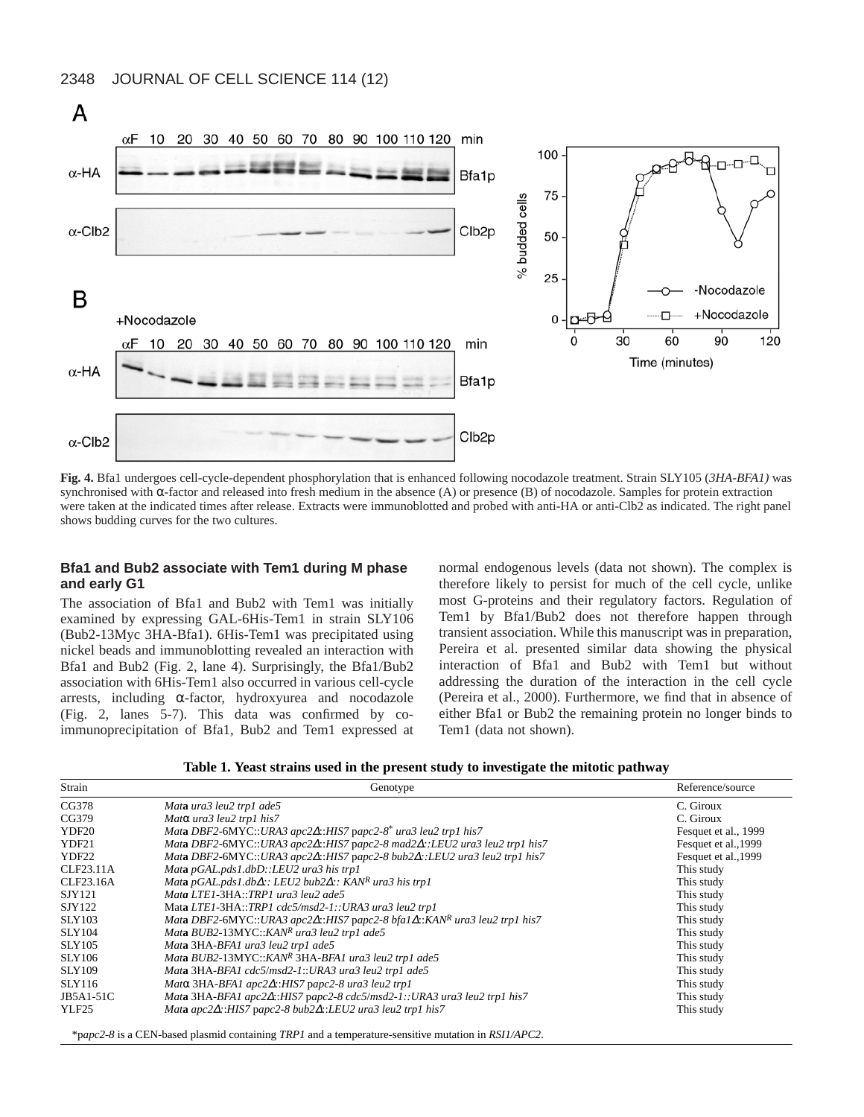

**Fig. 4.** Bfa1 undergoes cell-cycle-dependent phosphorylation that is enhanced following nocodazole treatment. Strain SLY105 (*3HA-BFA1)* was synchronised with α-factor and released into fresh medium in the absence (A) or presence (B) of nocodazole. Samples for protein extraction were taken at the indicated times after release. Extracts were immunoblotted and probed with anti-HA or anti-Clb2 as indicated. The right panel shows budding curves for the two cultures.

## **Bfa1 and Bub2 associate with Tem1 during M phase and early G1**

The association of Bfa1 and Bub2 with Tem1 was initially examined by expressing GAL-6His-Tem1 in strain SLY106 (Bub2-13Myc 3HA-Bfa1). 6His-Tem1 was precipitated using nickel beads and immunoblotting revealed an interaction with Bfa1 and Bub2 (Fig. 2, lane 4). Surprisingly, the Bfa1/Bub2 association with 6His-Tem1 also occurred in various cell-cycle arrests, including α-factor, hydroxyurea and nocodazole (Fig. 2, lanes 5-7). This data was confirmed by coimmunoprecipitation of Bfa1, Bub2 and Tem1 expressed at normal endogenous levels (data not shown). The complex is therefore likely to persist for much of the cell cycle, unlike most G-proteins and their regulatory factors. Regulation of Tem1 by Bfa1/Bub2 does not therefore happen through transient association. While this manuscript was in preparation, Pereira et al. presented similar data showing the physical interaction of Bfa1 and Bub2 with Tem1 but without addressing the duration of the interaction in the cell cycle (Pereira et al., 2000). Furthermore, we find that in absence of either Bfa1 or Bub2 the remaining protein no longer binds to Tem1 (data not shown).

**Table 1. Yeast strains used in the present study to investigate the mitotic pathway**

| Strain        | Genotype                                                                                         | Reference/source     |
|---------------|--------------------------------------------------------------------------------------------------|----------------------|
| CG378         | Mata ura3 leu2 trp1 ade5                                                                         | C. Giroux            |
| CG379         | Matα ura3 leu2 trp1 his7                                                                         | C. Giroux            |
| YDF20         | Mata DBF2-6MYC::URA3 apc2 $\Delta$ ::HIS7 papc2-8* ura3 leu2 trp1 his7                           | Fesquet et al., 1999 |
| YDF21         | Mata DBF2-6MYC::URA3 apc2 $\Delta$ ::HIS7 papc2-8 mad2 $\Delta$ ::LEU2 ura3 leu2 trp1 his7       | Fesquet et al., 1999 |
| YDF22         | Mata DBF2-6MYC::URA3 apc2 $\triangle$ ::HIS7 papc2-8 bub2 $\triangle$ ::LEU2 ura3 leu2 trp1 his7 | Fesquet et al., 1999 |
| CLF23.11A     | Mata pGAL.pds1.dbD::LEU2 ura3 his trp1                                                           | This study           |
| CLF23.16A     | Mata pGAL.pds1.db $\Delta$ :: LEU2 bub2 $\Delta$ :: KAN <sup>R</sup> ura3 his trp1               | This study           |
| SJY121        | Mata LTE1-3HA::TRP1 ura3 leu2 ade5                                                               | This study           |
| SJY122        | Mata LTE1-3HA::TRP1 cdc5/msd2-1::URA3 ura3 leu2 trp1                                             | This study           |
| <b>SLY103</b> | Mata DBF2-6MYC::URA3 apc2 $\triangle$ ::HIS7 papc2-8 bfa1 $\triangle$ ::KANR ura3 leu2 trp1 his7 | This study           |
| <b>SLY104</b> | Mata BUB2-13MYC::KANR ura3 leu2 trp1 ade5                                                        | This study           |
| <b>SLY105</b> | Mata 3HA-BFA1 ura3 leu2 trp1 ade5                                                                | This study           |
| <b>SLY106</b> | Mata BUB2-13MYC::KANR 3HA-BFA1 ura3 leu2 trp1 ade5                                               | This study           |
| <b>SLY109</b> | Mata 3HA-BFA1 cdc5/msd2-1::URA3 ura3 leu2 trp1 ade5                                              | This study           |
| SLY116        | Matα 3HA-BFA1 apc2Δ::HIS7 papc2-8 ura3 leu2 trp1                                                 | This study           |
| JB5A1-51C     | Mata 3HA-BFA1 apc2 $\triangle$ ::HIS7 papc2-8 cdc5/msd2-1::URA3 ura3 leu2 trp1 his7              | This study           |
| YLF25         | Mata apc2 $\triangle$ ::HIS7 papc2-8 bub2 $\triangle$ ::LEU2 ura3 leu2 trp1 his7                 | This study           |
|               |                                                                                                  |                      |

\*p*apc2-8* is a CEN-based plasmid containing *TRP1* and a temperature-sensitive mutation in *RSI1/APC2*.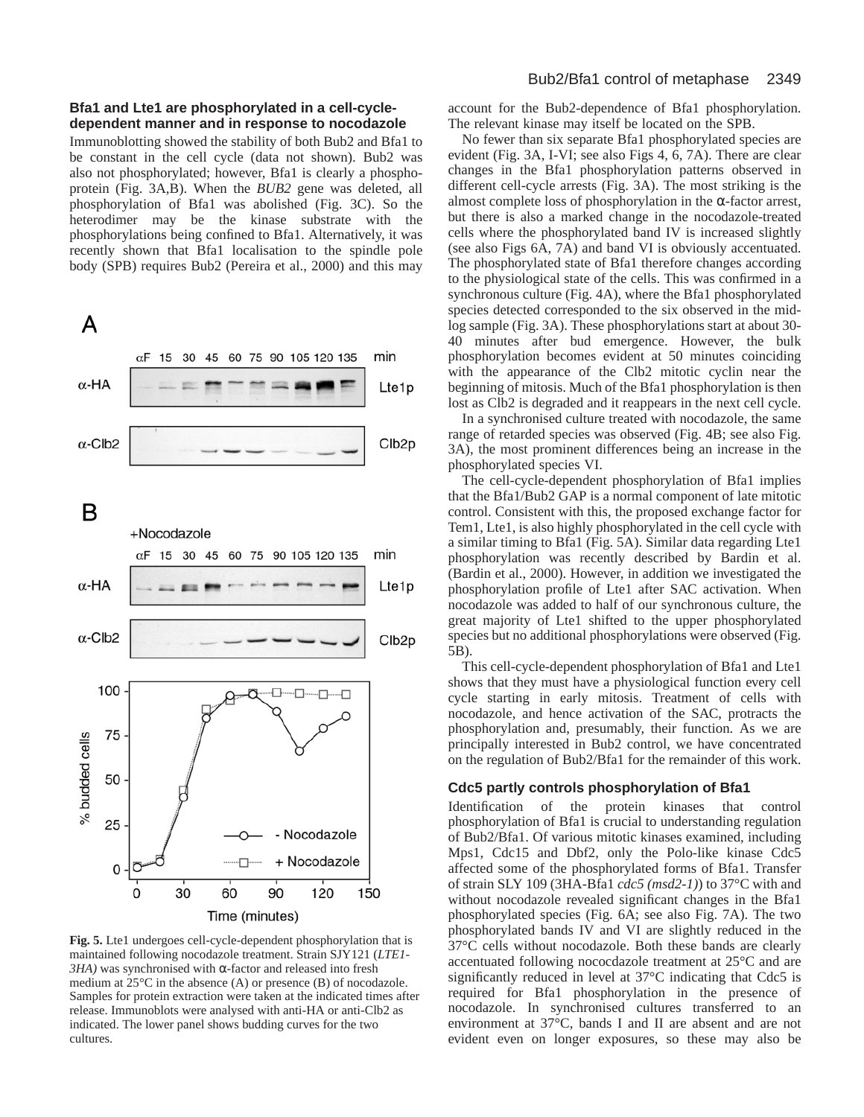## **Bfa1 and Lte1 are phosphorylated in a cell-cycledependent manner and in response to nocodazole**

Immunoblotting showed the stability of both Bub2 and Bfa1 to be constant in the cell cycle (data not shown). Bub2 was also not phosphorylated; however, Bfa1 is clearly a phosphoprotein (Fig. 3A,B). When the *BUB2* gene was deleted, all phosphorylation of Bfa1 was abolished (Fig. 3C). So the heterodimer may be the kinase substrate with the phosphorylations being confined to Bfa1. Alternatively, it was recently shown that Bfa1 localisation to the spindle pole body (SPB) requires Bub2 (Pereira et al., 2000) and this may



Fig. 5. Lte1 undergoes cell-cycle-dependent phosphorylation that is maintained following nocodazole treatment. Strain SJY121 (*LTE1- 3HA)* was synchronised with α-factor and released into fresh medium at 25°C in the absence (A) or presence (B) of nocodazole. Samples for protein extraction were taken at the indicated times after release. Immunoblots were analysed with anti-HA or anti-Clb2 as indicated. The lower panel shows budding curves for the two cultures.

account for the Bub2-dependence of Bfa1 phosphorylation. The relevant kinase may itself be located on the SPB.

No fewer than six separate Bfa1 phosphorylated species are evident (Fig. 3A, I-VI; see also Figs 4, 6, 7A). There are clear changes in the Bfa1 phosphorylation patterns observed in different cell-cycle arrests (Fig. 3A). The most striking is the almost complete loss of phosphorylation in the α-factor arrest, but there is also a marked change in the nocodazole-treated cells where the phosphorylated band IV is increased slightly (see also Figs 6A, 7A) and band VI is obviously accentuated. The phosphorylated state of Bfa1 therefore changes according to the physiological state of the cells. This was confirmed in a synchronous culture (Fig. 4A), where the Bfa1 phosphorylated species detected corresponded to the six observed in the midlog sample (Fig. 3A). These phosphorylations start at about 30- 40 minutes after bud emergence. However, the bulk phosphorylation becomes evident at 50 minutes coinciding with the appearance of the Clb2 mitotic cyclin near the beginning of mitosis. Much of the Bfa1 phosphorylation is then lost as Clb2 is degraded and it reappears in the next cell cycle.

In a synchronised culture treated with nocodazole, the same range of retarded species was observed (Fig. 4B; see also Fig. 3A), the most prominent differences being an increase in the phosphorylated species VI.

The cell-cycle-dependent phosphorylation of Bfa1 implies that the Bfa1/Bub2 GAP is a normal component of late mitotic control. Consistent with this, the proposed exchange factor for Tem1, Lte1, is also highly phosphorylated in the cell cycle with a similar timing to Bfa1 (Fig. 5A). Similar data regarding Lte1 phosphorylation was recently described by Bardin et al. (Bardin et al., 2000). However, in addition we investigated the phosphorylation profile of Lte1 after SAC activation. When nocodazole was added to half of our synchronous culture, the great majority of Lte1 shifted to the upper phosphorylated species but no additional phosphorylations were observed (Fig. 5B).

This cell-cycle-dependent phosphorylation of Bfa1 and Lte1 shows that they must have a physiological function every cell cycle starting in early mitosis. Treatment of cells with nocodazole, and hence activation of the SAC, protracts the phosphorylation and, presumably, their function. As we are principally interested in Bub2 control, we have concentrated on the regulation of Bub2/Bfa1 for the remainder of this work.

# **Cdc5 partly controls phosphorylation of Bfa1**

Identification of the protein kinases that control phosphorylation of Bfa1 is crucial to understanding regulation of Bub2/Bfa1. Of various mitotic kinases examined, including Mps1, Cdc15 and Dbf2, only the Polo-like kinase Cdc5 affected some of the phosphorylated forms of Bfa1. Transfer of strain SLY 109 (3HA-Bfa1 *cdc5 (msd2-1)*) to 37°C with and without nocodazole revealed significant changes in the Bfa1 phosphorylated species (Fig. 6A; see also Fig. 7A). The two phosphorylated bands IV and VI are slightly reduced in the 37°C cells without nocodazole. Both these bands are clearly accentuated following nococdazole treatment at 25°C and are significantly reduced in level at 37°C indicating that Cdc5 is required for Bfa1 phosphorylation in the presence of nocodazole. In synchronised cultures transferred to an environment at 37°C, bands I and II are absent and are not evident even on longer exposures, so these may also be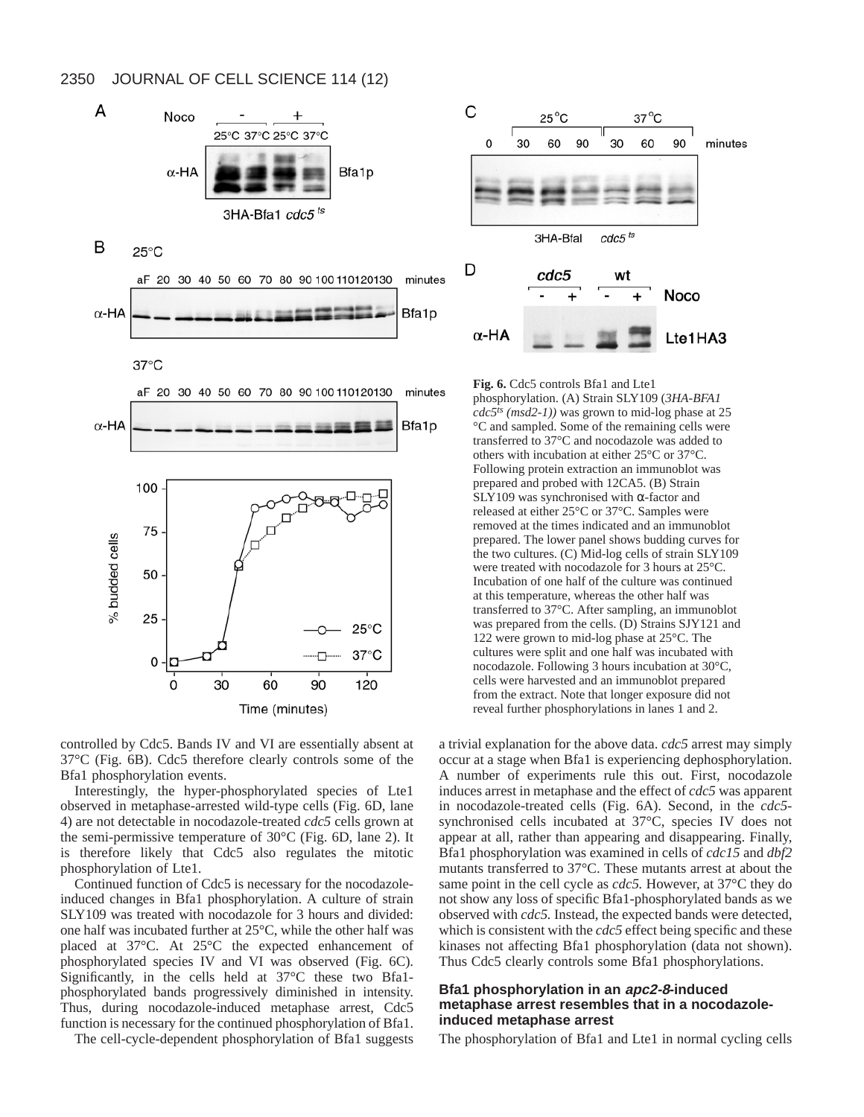

controlled by Cdc5. Bands IV and VI are essentially absent at 37°C (Fig. 6B). Cdc5 therefore clearly controls some of the Bfa1 phosphorylation events.

Interestingly, the hyper-phosphorylated species of Lte1 observed in metaphase-arrested wild-type cells (Fig. 6D, lane 4) are not detectable in nocodazole-treated *cdc5* cells grown at the semi-permissive temperature of 30°C (Fig. 6D, lane 2). It is therefore likely that Cdc5 also regulates the mitotic phosphorylation of Lte1.

Continued function of Cdc5 is necessary for the nocodazoleinduced changes in Bfa1 phosphorylation. A culture of strain SLY109 was treated with nocodazole for 3 hours and divided: one half was incubated further at 25°C, while the other half was placed at 37°C. At 25°C the expected enhancement of phosphorylated species IV and VI was observed (Fig. 6C). Significantly, in the cells held at 37°C these two Bfa1 phosphorylated bands progressively diminished in intensity. Thus, during nocodazole-induced metaphase arrest, Cdc5 function is necessary for the continued phosphorylation of Bfa1.

The cell-cycle-dependent phosphorylation of Bfa1 suggests



**Fig. 6.** Cdc5 controls Bfa1 and Lte1 phosphorylation. (A) Strain SLY109 (*3HA-BFA1 cdc5ts (msd2-1))* was grown to mid-log phase at 25 °C and sampled. Some of the remaining cells were transferred to 37°C and nocodazole was added to others with incubation at either 25°C or 37°C. Following protein extraction an immunoblot was prepared and probed with 12CA5. (B) Strain SLY109 was synchronised with  $\alpha$ -factor and released at either 25°C or 37°C. Samples were removed at the times indicated and an immunoblot prepared. The lower panel shows budding curves for the two cultures. (C) Mid-log cells of strain SLY109 were treated with nocodazole for 3 hours at 25°C. Incubation of one half of the culture was continued at this temperature, whereas the other half was transferred to 37°C. After sampling, an immunoblot was prepared from the cells. (D) Strains SJY121 and 122 were grown to mid-log phase at 25°C. The cultures were split and one half was incubated with nocodazole. Following 3 hours incubation at 30°C, cells were harvested and an immunoblot prepared from the extract. Note that longer exposure did not reveal further phosphorylations in lanes 1 and 2.

a trivial explanation for the above data. *cdc5* arrest may simply occur at a stage when Bfa1 is experiencing dephosphorylation. A number of experiments rule this out. First, nocodazole induces arrest in metaphase and the effect of *cdc5* was apparent in nocodazole-treated cells (Fig. 6A). Second, in the *cdc5* synchronised cells incubated at 37°C, species IV does not appear at all, rather than appearing and disappearing. Finally, Bfa1 phosphorylation was examined in cells of *cdc15* and *dbf2* mutants transferred to 37°C. These mutants arrest at about the same point in the cell cycle as *cdc5.* However, at 37°C they do not show any loss of specific Bfa1-phosphorylated bands as we observed with *cdc5.* Instead, the expected bands were detected, which is consistent with the *cdc5* effect being specific and these kinases not affecting Bfa1 phosphorylation (data not shown). Thus Cdc5 clearly controls some Bfa1 phosphorylations.

# **Bfa1 phosphorylation in an apc2-8-induced metaphase arrest resembles that in a nocodazoleinduced metaphase arrest**

The phosphorylation of Bfa1 and Lte1 in normal cycling cells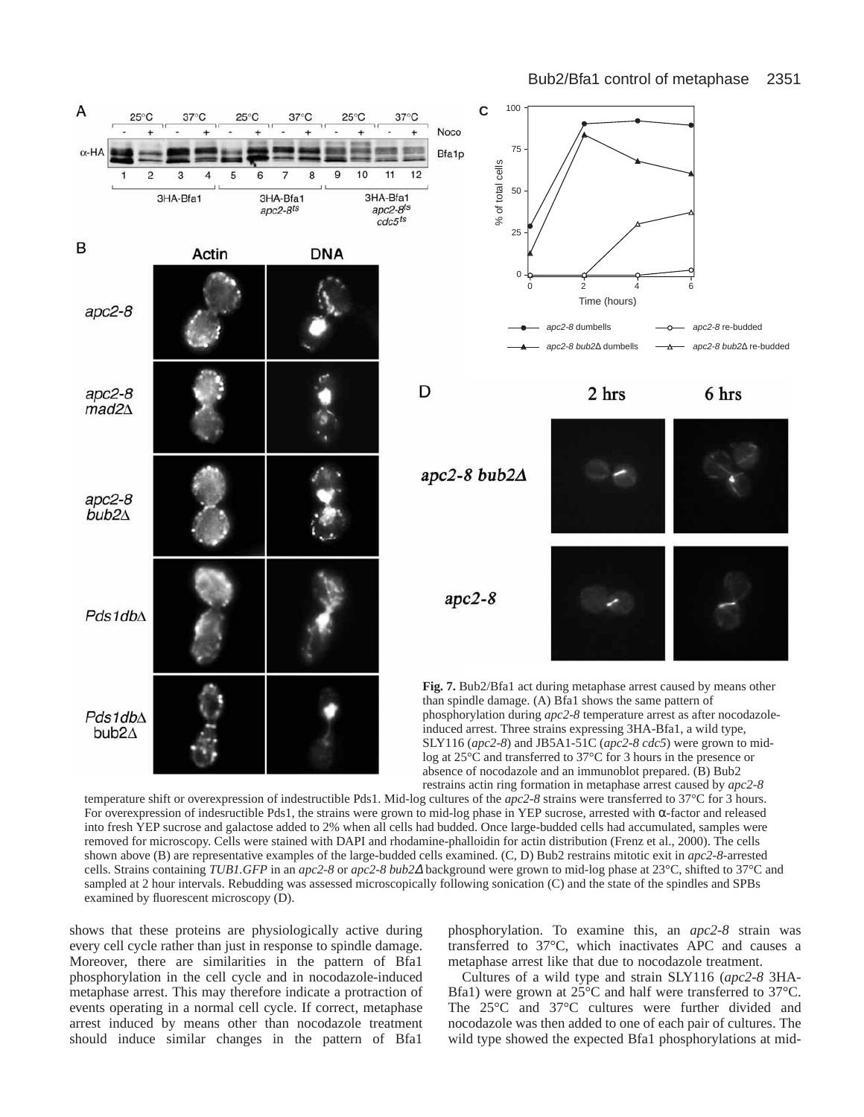

temperature shift or overexpression of indestructible Pds1. Mid-log cultures of the *apc2-8* strains were transferred to 37°C for 3 hours. For overexpression of indesructible Pds1, the strains were grown to mid-log phase in YEP sucrose, arrested with α-factor and released into fresh YEP sucrose and galactose added to 2% when all cells had budded. Once large-budded cells had accumulated, samples were removed for microscopy. Cells were stained with DAPI and rhodamine-phalloidin for actin distribution (Frenz et al., 2000). The cells shown above (B) are representative examples of the large-budded cells examined. (C, D) Bub2 restrains mitotic exit in *apc2-8*-arrested cells. Strains containing *TUB1.GFP* in an *apc2-8* or *apc2-8 bub2*<sup>∆</sup> background were grown to mid-log phase at 23°C, shifted to 37°C and sampled at 2 hour intervals. Rebudding was assessed microscopically following sonication (C) and the state of the spindles and SPBs examined by fluorescent microscopy (D).

shows that these proteins are physiologically active during every cell cycle rather than just in response to spindle damage. Moreover, there are similarities in the pattern of Bfa1 phosphorylation in the cell cycle and in nocodazole-induced metaphase arrest. This may therefore indicate a protraction of events operating in a normal cell cycle. If correct, metaphase arrest induced by means other than nocodazole treatment should induce similar changes in the pattern of Bfa1 phosphorylation. To examine this, an *apc2-8* strain was transferred to 37°C, which inactivates APC and causes a metaphase arrest like that due to nocodazole treatment.

Cultures of a wild type and strain SLY116 (*apc2-8* 3HA-Bfa1) were grown at 25°C and half were transferred to 37°C. The 25°C and 37°C cultures were further divided and nocodazole was then added to one of each pair of cultures. The wild type showed the expected Bfa1 phosphorylations at mid-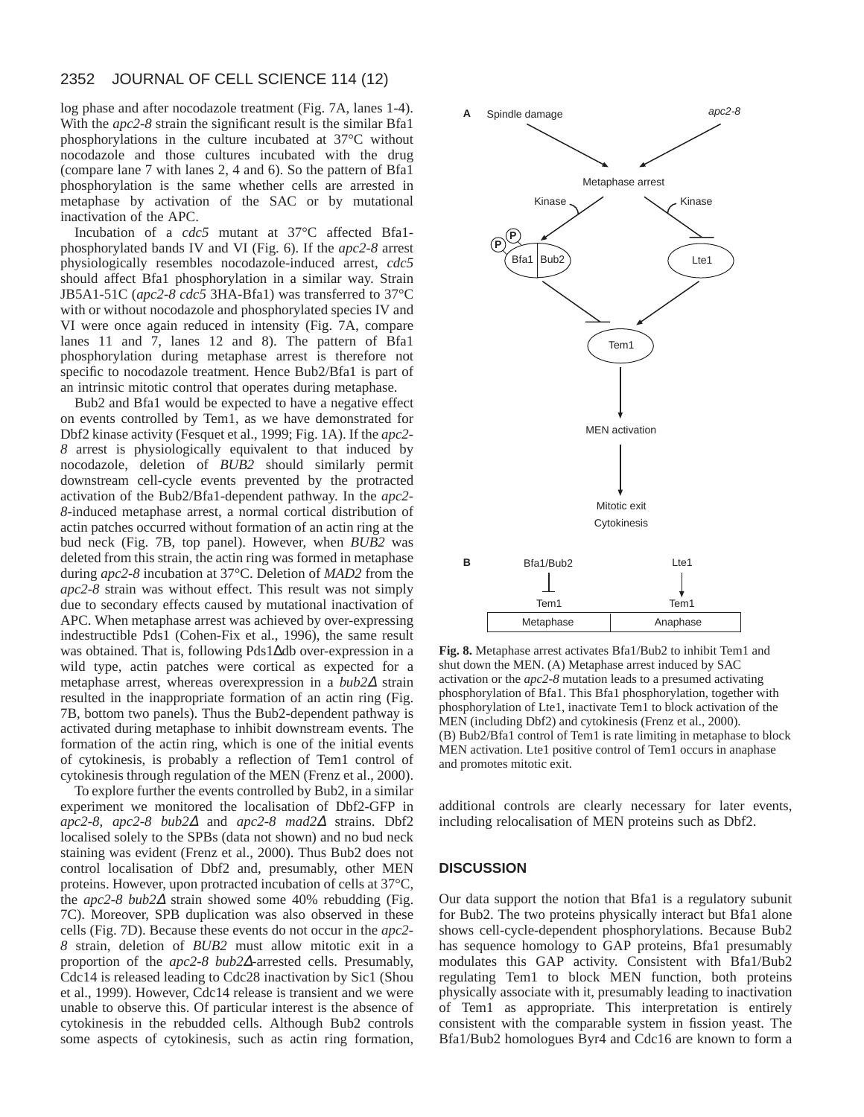log phase and after nocodazole treatment (Fig. 7A, lanes 1-4). With the *apc2-8* strain the significant result is the similar Bfa1 phosphorylations in the culture incubated at 37°C without nocodazole and those cultures incubated with the drug (compare lane 7 with lanes 2, 4 and 6). So the pattern of Bfa1 phosphorylation is the same whether cells are arrested in metaphase by activation of the SAC or by mutational inactivation of the APC.

Incubation of a *cdc5* mutant at 37°C affected Bfa1 phosphorylated bands IV and VI (Fig. 6). If the *apc2-8* arrest physiologically resembles nocodazole-induced arrest, *cdc5* should affect Bfa1 phosphorylation in a similar way. Strain JB5A1-51C (*apc2-8 cdc5* 3HA-Bfa1) was transferred to 37°C with or without nocodazole and phosphorylated species IV and VI were once again reduced in intensity (Fig. 7A, compare lanes 11 and 7, lanes 12 and 8). The pattern of Bfa1 phosphorylation during metaphase arrest is therefore not specific to nocodazole treatment. Hence Bub2/Bfa1 is part of an intrinsic mitotic control that operates during metaphase.

Bub2 and Bfa1 would be expected to have a negative effect on events controlled by Tem1, as we have demonstrated for Dbf2 kinase activity (Fesquet et al., 1999; Fig. 1A). If the *apc2- 8* arrest is physiologically equivalent to that induced by nocodazole, deletion of *BUB2* should similarly permit downstream cell-cycle events prevented by the protracted activation of the Bub2/Bfa1-dependent pathway. In the *apc2- 8*-induced metaphase arrest, a normal cortical distribution of actin patches occurred without formation of an actin ring at the bud neck (Fig. 7B, top panel). However, when *BUB2* was deleted from this strain, the actin ring was formed in metaphase during *apc2-8* incubation at 37°C. Deletion of *MAD2* from the *apc2-8* strain was without effect. This result was not simply due to secondary effects caused by mutational inactivation of APC. When metaphase arrest was achieved by over-expressing indestructible Pds1 (Cohen-Fix et al., 1996), the same result was obtained. That is, following Pds1∆db over-expression in a wild type, actin patches were cortical as expected for a metaphase arrest, whereas overexpression in a *bub2*<sup>∆</sup> strain resulted in the inappropriate formation of an actin ring (Fig. 7B, bottom two panels). Thus the Bub2-dependent pathway is activated during metaphase to inhibit downstream events. The formation of the actin ring, which is one of the initial events of cytokinesis, is probably a reflection of Tem1 control of cytokinesis through regulation of the MEN (Frenz et al., 2000).

To explore further the events controlled by Bub2, in a similar experiment we monitored the localisation of Dbf2-GFP in *apc2-8, apc2-8 bub2*<sup>∆</sup> and *apc2-8 mad2*<sup>∆</sup> strains. Dbf2 localised solely to the SPBs (data not shown) and no bud neck staining was evident (Frenz et al., 2000). Thus Bub2 does not control localisation of Dbf2 and, presumably, other MEN proteins. However, upon protracted incubation of cells at 37°C, the *apc2-8 bub2*<sup>∆</sup> strain showed some 40% rebudding (Fig. 7C). Moreover, SPB duplication was also observed in these cells (Fig. 7D). Because these events do not occur in the *apc2- 8* strain, deletion of *BUB2* must allow mitotic exit in a proportion of the *apc2-8 bub2*∆-arrested cells. Presumably, Cdc14 is released leading to Cdc28 inactivation by Sic1 (Shou et al., 1999). However, Cdc14 release is transient and we were unable to observe this. Of particular interest is the absence of cytokinesis in the rebudded cells. Although Bub2 controls some aspects of cytokinesis, such as actin ring formation,



**Fig. 8.** Metaphase arrest activates Bfa1/Bub2 to inhibit Tem1 and shut down the MEN. (A) Metaphase arrest induced by SAC activation or the *apc2-8* mutation leads to a presumed activating phosphorylation of Bfa1. This Bfa1 phosphorylation, together with phosphorylation of Lte1, inactivate Tem1 to block activation of the MEN (including Dbf2) and cytokinesis (Frenz et al., 2000). (B) Bub2/Bfa1 control of Tem1 is rate limiting in metaphase to block MEN activation. Lte1 positive control of Tem1 occurs in anaphase and promotes mitotic exit.

additional controls are clearly necessary for later events, including relocalisation of MEN proteins such as Dbf2.

## **DISCUSSION**

Our data support the notion that Bfa1 is a regulatory subunit for Bub2. The two proteins physically interact but Bfa1 alone shows cell-cycle-dependent phosphorylations. Because Bub2 has sequence homology to GAP proteins, Bfa1 presumably modulates this GAP activity. Consistent with Bfa1/Bub2 regulating Tem1 to block MEN function, both proteins physically associate with it, presumably leading to inactivation of Tem1 as appropriate. This interpretation is entirely consistent with the comparable system in fission yeast. The Bfa1/Bub2 homologues Byr4 and Cdc16 are known to form a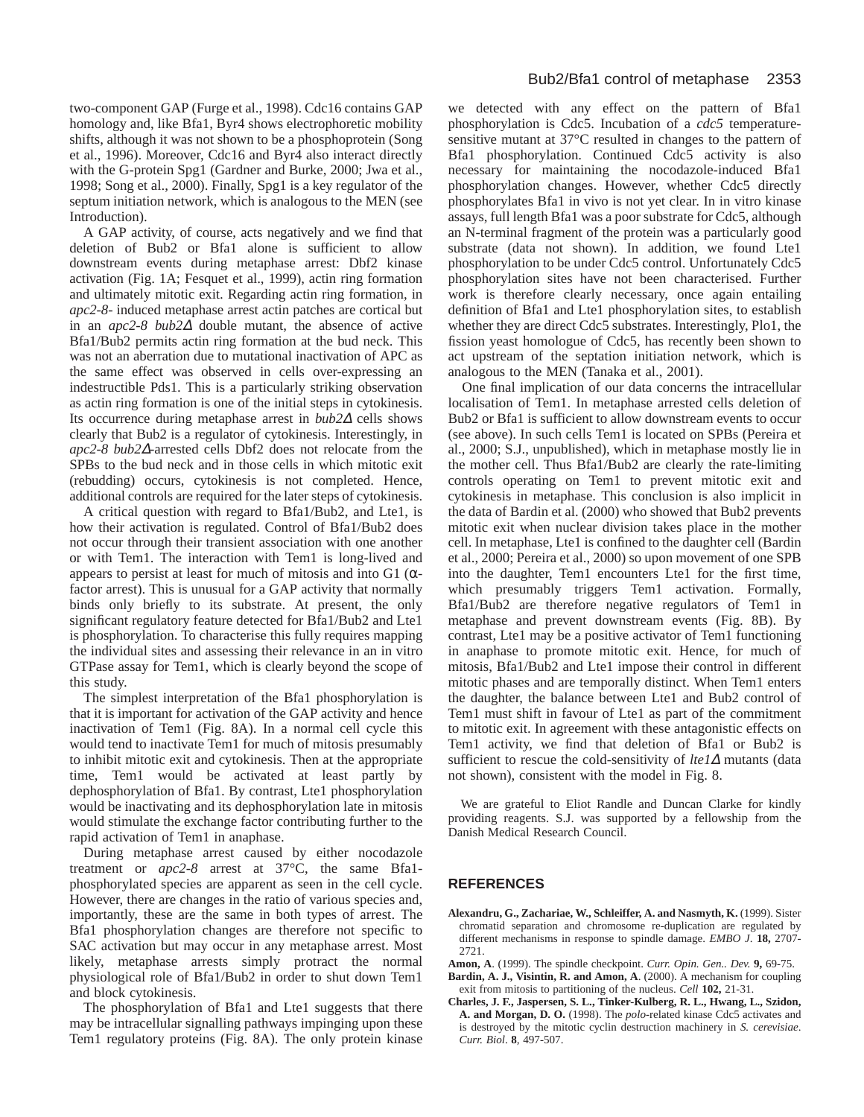two-component GAP (Furge et al., 1998). Cdc16 contains GAP homology and, like Bfa1, Byr4 shows electrophoretic mobility shifts, although it was not shown to be a phosphoprotein (Song et al., 1996). Moreover, Cdc16 and Byr4 also interact directly with the G-protein Spg1 (Gardner and Burke, 2000; Jwa et al., 1998; Song et al., 2000). Finally, Spg1 is a key regulator of the septum initiation network, which is analogous to the MEN (see Introduction).

A GAP activity, of course, acts negatively and we find that deletion of Bub2 or Bfa1 alone is sufficient to allow downstream events during metaphase arrest: Dbf2 kinase activation (Fig. 1A; Fesquet et al., 1999), actin ring formation and ultimately mitotic exit. Regarding actin ring formation, in *apc2-8*- induced metaphase arrest actin patches are cortical but in an *apc2-8 bub2*<sup>∆</sup> double mutant, the absence of active Bfa1/Bub2 permits actin ring formation at the bud neck. This was not an aberration due to mutational inactivation of APC as the same effect was observed in cells over-expressing an indestructible Pds1. This is a particularly striking observation as actin ring formation is one of the initial steps in cytokinesis. Its occurrence during metaphase arrest in *bub2*<sup>∆</sup> cells shows clearly that Bub2 is a regulator of cytokinesis. Interestingly, in *apc2-8 bub2*∆-arrested cells Dbf2 does not relocate from the SPBs to the bud neck and in those cells in which mitotic exit (rebudding) occurs, cytokinesis is not completed. Hence, additional controls are required for the later steps of cytokinesis.

A critical question with regard to Bfa1/Bub2, and Lte1, is how their activation is regulated. Control of Bfa1/Bub2 does not occur through their transient association with one another or with Tem1. The interaction with Tem1 is long-lived and appears to persist at least for much of mitosis and into G1 ( $\alpha$ factor arrest). This is unusual for a GAP activity that normally binds only briefly to its substrate. At present, the only significant regulatory feature detected for Bfa1/Bub2 and Lte1 is phosphorylation. To characterise this fully requires mapping the individual sites and assessing their relevance in an in vitro GTPase assay for Tem1, which is clearly beyond the scope of this study.

The simplest interpretation of the Bfa1 phosphorylation is that it is important for activation of the GAP activity and hence inactivation of Tem1 (Fig. 8A). In a normal cell cycle this would tend to inactivate Tem1 for much of mitosis presumably to inhibit mitotic exit and cytokinesis. Then at the appropriate time, Tem1 would be activated at least partly by dephosphorylation of Bfa1. By contrast, Lte1 phosphorylation would be inactivating and its dephosphorylation late in mitosis would stimulate the exchange factor contributing further to the rapid activation of Tem1 in anaphase.

During metaphase arrest caused by either nocodazole treatment or *apc2-8* arrest at 37°C, the same Bfa1 phosphorylated species are apparent as seen in the cell cycle. However, there are changes in the ratio of various species and, importantly, these are the same in both types of arrest. The Bfa1 phosphorylation changes are therefore not specific to SAC activation but may occur in any metaphase arrest. Most likely, metaphase arrests simply protract the normal physiological role of Bfa1/Bub2 in order to shut down Tem1 and block cytokinesis.

The phosphorylation of Bfa1 and Lte1 suggests that there may be intracellular signalling pathways impinging upon these Tem1 regulatory proteins (Fig. 8A). The only protein kinase we detected with any effect on the pattern of Bfa1 phosphorylation is Cdc5. Incubation of a *cdc5* temperaturesensitive mutant at 37°C resulted in changes to the pattern of Bfa1 phosphorylation. Continued Cdc5 activity is also necessary for maintaining the nocodazole-induced Bfa1 phosphorylation changes. However, whether Cdc5 directly phosphorylates Bfa1 in vivo is not yet clear. In in vitro kinase assays, full length Bfa1 was a poor substrate for Cdc5, although an N-terminal fragment of the protein was a particularly good substrate (data not shown). In addition, we found Lte1 phosphorylation to be under Cdc5 control. Unfortunately Cdc5 phosphorylation sites have not been characterised. Further work is therefore clearly necessary, once again entailing definition of Bfa1 and Lte1 phosphorylation sites, to establish whether they are direct Cdc5 substrates. Interestingly, Plo1, the fission yeast homologue of Cdc5, has recently been shown to act upstream of the septation initiation network, which is analogous to the MEN (Tanaka et al., 2001).

One final implication of our data concerns the intracellular localisation of Tem1. In metaphase arrested cells deletion of Bub2 or Bfa1 is sufficient to allow downstream events to occur (see above). In such cells Tem1 is located on SPBs (Pereira et al., 2000; S.J., unpublished), which in metaphase mostly lie in the mother cell. Thus Bfa1/Bub2 are clearly the rate-limiting controls operating on Tem1 to prevent mitotic exit and cytokinesis in metaphase. This conclusion is also implicit in the data of Bardin et al. (2000) who showed that Bub2 prevents mitotic exit when nuclear division takes place in the mother cell. In metaphase, Lte1 is confined to the daughter cell (Bardin et al., 2000; Pereira et al., 2000) so upon movement of one SPB into the daughter, Tem1 encounters Lte1 for the first time, which presumably triggers Tem1 activation. Formally, Bfa1/Bub2 are therefore negative regulators of Tem1 in metaphase and prevent downstream events (Fig. 8B). By contrast, Lte1 may be a positive activator of Tem1 functioning in anaphase to promote mitotic exit. Hence, for much of mitosis, Bfa1/Bub2 and Lte1 impose their control in different mitotic phases and are temporally distinct. When Tem1 enters the daughter, the balance between Lte1 and Bub2 control of Tem1 must shift in favour of Lte1 as part of the commitment to mitotic exit. In agreement with these antagonistic effects on Tem1 activity, we find that deletion of Bfa1 or Bub2 is sufficient to rescue the cold-sensitivity of *lte1*<sup>∆</sup> mutants (data not shown), consistent with the model in Fig. 8.

We are grateful to Eliot Randle and Duncan Clarke for kindly providing reagents. S.J. was supported by a fellowship from the Danish Medical Research Council.

# **REFERENCES**

- **Alexandru, G., Zachariae, W., Schleiffer, A. and Nasmyth, K.** (1999). Sister chromatid separation and chromosome re-duplication are regulated by different mechanisms in response to spindle damage. *EMBO J*. **18,** 2707- 2721.
- **Amon, A**. (1999). The spindle checkpoint. *Curr. Opin. Gen.. Dev.* **9,** 69-75.
- **Bardin, A. J., Visintin, R. and Amon, A**. (2000). A mechanism for coupling exit from mitosis to partitioning of the nucleus. *Cell* **102,** 21-31.
- **Charles, J. F., Jaspersen, S. L., Tinker-Kulberg, R. L., Hwang, L., Szidon, A. and Morgan, D. O.** (1998). The *polo*-related kinase Cdc5 activates and is destroyed by the mitotic cyclin destruction machinery in *S. cerevisiae*. *Curr. Biol*. **8***,* 497-507.